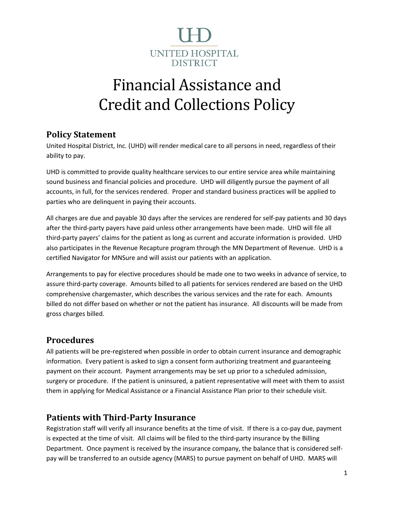

# Financial Assistance and Credit and Collections Policy

## **Policy Statement**

United Hospital District, Inc. (UHD) will render medical care to all persons in need, regardless of their ability to pay.

UHD is committed to provide quality healthcare services to our entire service area while maintaining sound business and financial policies and procedure. UHD will diligently pursue the payment of all accounts, in full, for the services rendered. Proper and standard business practices will be applied to parties who are delinquent in paying their accounts.

All charges are due and payable 30 days after the services are rendered for self-pay patients and 30 days after the third-party payers have paid unless other arrangements have been made. UHD will file all third-party payers' claims for the patient as long as current and accurate information is provided. UHD also participates in the Revenue Recapture program through the MN Department of Revenue. UHD is a certified Navigator for MNSure and will assist our patients with an application.

Arrangements to pay for elective procedures should be made one to two weeks in advance of service, to assure third-party coverage. Amounts billed to all patients for services rendered are based on the UHD comprehensive chargemaster, which describes the various services and the rate for each. Amounts billed do not differ based on whether or not the patient has insurance. All discounts will be made from gross charges billed.

#### **Procedures**

All patients will be pre-registered when possible in order to obtain current insurance and demographic information. Every patient is asked to sign a consent form authorizing treatment and guaranteeing payment on their account. Payment arrangements may be set up prior to a scheduled admission, surgery or procedure. If the patient is uninsured, a patient representative will meet with them to assist them in applying for Medical Assistance or a Financial Assistance Plan prior to their schedule visit.

## **Patients with Third-Party Insurance**

Registration staff will verify all insurance benefits at the time of visit. If there is a co-pay due, payment is expected at the time of visit. All claims will be filed to the third-party insurance by the Billing Department. Once payment is received by the insurance company, the balance that is considered selfpay will be transferred to an outside agency (MARS) to pursue payment on behalf of UHD. MARS will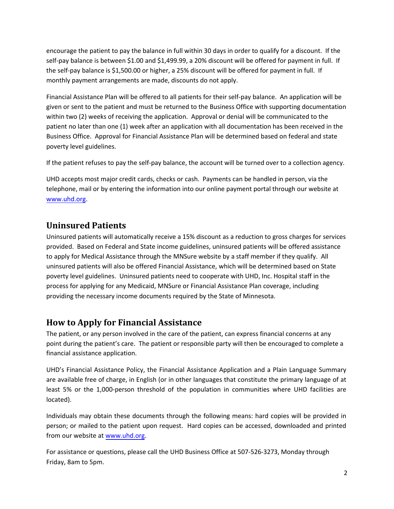encourage the patient to pay the balance in full within 30 days in order to qualify for a discount. If the self-pay balance is between \$1.00 and \$1,499.99, a 20% discount will be offered for payment in full. If the self-pay balance is \$1,500.00 or higher, a 25% discount will be offered for payment in full. If monthly payment arrangements are made, discounts do not apply.

Financial Assistance Plan will be offered to all patients for their self-pay balance. An application will be given or sent to the patient and must be returned to the Business Office with supporting documentation within two (2) weeks of receiving the application. Approval or denial will be communicated to the patient no later than one (1) week after an application with all documentation has been received in the Business Office. Approval for Financial Assistance Plan will be determined based on federal and state poverty level guidelines.

If the patient refuses to pay the self-pay balance, the account will be turned over to a collection agency.

UHD accepts most major credit cards, checks or cash. Payments can be handled in person, via the telephone, mail or by entering the information into our online payment portal through our website at [www.uhd.org.](http://www.uhd.org/)

#### **Uninsured Patients**

Uninsured patients will automatically receive a 15% discount as a reduction to gross charges for services provided. Based on Federal and State income guidelines, uninsured patients will be offered assistance to apply for Medical Assistance through the MNSure website by a staff member if they qualify. All uninsured patients will also be offered Financial Assistance, which will be determined based on State poverty level guidelines. Uninsured patients need to cooperate with UHD, Inc. Hospital staff in the process for applying for any Medicaid, MNSure or Financial Assistance Plan coverage, including providing the necessary income documents required by the State of Minnesota.

#### **How to Apply for Financial Assistance**

The patient, or any person involved in the care of the patient, can express financial concerns at any point during the patient's care. The patient or responsible party will then be encouraged to complete a financial assistance application.

UHD's Financial Assistance Policy, the Financial Assistance Application and a Plain Language Summary are available free of charge, in English (or in other languages that constitute the primary language of at least 5% or the 1,000-person threshold of the population in communities where UHD facilities are located).

Individuals may obtain these documents through the following means: hard copies will be provided in person; or mailed t[o the patient u](http://www.uhd.org/)pon request. Hard copies can be accessed, downloaded and printed from our website at www.uhd.org.

For assistance or questions, please call the UHD Business Office at 507-526-3273, Monday through Friday, 8am to 5pm.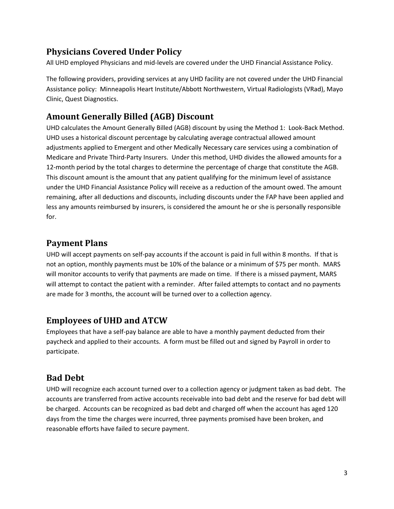# **Physicians Covered Under Policy**

All UHD employed Physicians and mid-levels are covered under the UHD Financial Assistance Policy.

The following providers, providing services at any UHD facility are not covered under the UHD Financial Assistance policy: Minneapolis Heart Institute/Abbott Northwestern, Virtual Radiologists (VRad), Mayo Clinic, Quest Diagnostics.

## **Amount Generally Billed (AGB) Discount**

UHD calculates the Amount Generally Billed (AGB) discount by using the Method 1: Look-Back Method. UHD uses a historical discount percentage by calculating average contractual allowed amount adjustments applied to Emergent and other Medically Necessary care services using a combination of Medicare and Private Third-Party Insurers. Under this method, UHD divides the allowed amounts for a 12-month period by the total charges to determine the percentage of charge that constitute the AGB. This discount amount is the amount that any patient qualifying for the minimum level of assistance under the UHD Financial Assistance Policy will receive as a reduction of the amount owed. The amount remaining, after all deductions and discounts, including discounts under the FAP have been applied and less any amounts reimbursed by insurers, is considered the amount he or she is personally responsible for.

## **Payment Plans**

UHD will accept payments on self-pay accounts if the account is paid in full within 8 months. If that is not an option, monthly payments must be 10% of the balance or a minimum of \$75 per month. MARS will monitor accounts to verify that payments are made on time. If there is a missed payment, MARS will attempt to contact the patient with a reminder. After failed attempts to contact and no payments are made for 3 months, the account will be turned over to a collection agency.

# **Employees of UHD and ATCW**

Employees that have a self-pay balance are able to have a monthly payment deducted from their paycheck and applied to their accounts. A form must be filled out and signed by Payroll in order to participate.

# **Bad Debt**

UHD will recognize each account turned over to a collection agency or judgment taken as bad debt. The accounts are transferred from active accounts receivable into bad debt and the reserve for bad debt will be charged. Accounts can be recognized as bad debt and charged off when the account has aged 120 days from the time the charges were incurred, three payments promised have been broken, and reasonable efforts have failed to secure payment.